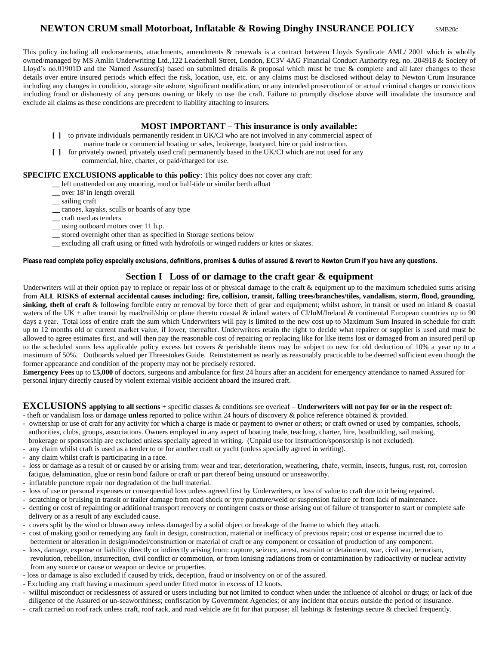# **NEWTON CRUM small Motorboat, Inflatable & Rowing Dinghy INSURANCE POLICY** SMB20c

This policy including all endorsements, attachments, amendments & renewals is a contract between Lloyds Syndicate AML/ 2001 which is wholly owned/managed by MS Amlin Underwriting Ltd.,122 Leadenhall Street, London, EC3V 4AG Financial Conduct Authority reg. no. 204918 & Society of Lloyd's no.01901D and the Named Assured(s) based on submitted details & proposal which must be true  $\&$  complete and all later changes to these details over entire insured periods which effect the risk, location, use, etc. or any claims must be disclosed without delay to Newton Crum Insurance including any changes in condition, storage site ashore, significant modification, or any intended prosecution of or actual criminal charges or convictions including fraud or dishonesty of any persons owning or likely to use the craft. Failure to promptly disclose above will invalidate the insurance and exclude all claims as these conditions are precedent to liability attaching to insurers.

### **MOST IMPORTANT – This insurance is only available:**

- **[ ]** to private individuals permanently resident in UK/CI who are not involved in any commercial aspect of marine trade or commercial boating or sales, brokerage, boatyard, hire or paid instruction.
- **[ ]** for privately owned, privately used craft permanently based in the UK/CI which are not used for any commercial, hire, charter, or paid/charged for use.

#### **SPECIFIC EXCLUSIONS applicable to this policy**: This policy does not cover any craft:

- \_\_ left unattended on any mooring, mud or half-tide or similar berth afloat
- \_\_ over 18' in length overall
- \_\_ sailing craft
- \_\_ canoes, kayaks, sculls or boards of any type
- \_\_ craft used as tenders
- using outboard motors over 11 h.p.
- \_\_ stored overnight other than as specified in Storage sections below
- \_\_ excluding all craft using or fitted with hydrofoils or winged rudders or kites or skates.

## **Please read complete policy especially exclusions, definitions, promises & duties of assured & revert to Newton Crum if you have any questions.**

# **Section I Loss of or damage to the craft gear & equipment**

Underwriters will at their option pay to replace or repair loss of or physical damage to the craft  $\&$  equipment up to the maximum scheduled sums arising from **ALL RISKS of external accidental causes including: fire, collision, transit, falling trees/branches/tiles, vandalism, storm, flood, grounding**, sinking, theft of craft & following forcible entry or removal by force theft of gear and equipment; whilst ashore, in transit or used on inland & coastal waters of the UK + after transit by road/rail/ship or plane thereto coastal & inland waters of CI/IoM/Ireland & continental European countries up to 90 days a year. Total loss of entire craft the sum which Underwriters will pay is limited to the new cost up to Maximum Sum Insured in schedule for craft up to 12 months old or current market value, if lower, thereafter. Underwriters retain the right to decide what repairer or supplier is used and must be allowed to agree estimates first, and will then pay the reasonable cost of repairing or replacing like for like items lost or damaged from an insured peril up to the scheduled sums less applicable policy excess but covers & perishable items may be subject to new for old deduction of 10% a year up to a maximum of 50%. Outboards valued per Threestokes Guide. Reinstatement as nearly as reasonably practicable to be deemed sufficient even though the former appearance and condition of the property may not be precisely restored.

**Emergency Fees** up to **£5,000** of doctors, surgeons and ambulance for first 24 hours after an accident for emergency attendance to named Assured for personal injury directly caused by violent external visible accident aboard the insured craft.

#### **EXCLUSIONS applying to all sections** + specific classes & conditions see overleaf – **Underwriters will not pay for or in the respect of:** - theft or vandalism loss or damage **unless** reported to police within 24 hours of discovery & police reference obtained & provided.

- ownership or use of craft for any activity for which a charge is made or payment to owner or others; or craft owned or used by companies, schools, authorities, clubs, groups, associations. Owners employed in any aspect of boating trade, teaching, charter, hire, boatbuilding, sail making, brokerage or sponsorship are excluded unless specially agreed in writing. (Unpaid use for instruction/sponsorship is not excluded).
- any claim whilst craft is used as a tender to or for another craft or yacht (unless specially agreed in writing).
- any claim whilst craft is participating in a race.
- loss or damage as a result of or caused by or arising from: wear and tear, deterioration, weathering, chafe, vermin, insects, fungus, rust, rot, corrosion fatigue, delamination, glue or resin bond failure or craft or part thereof being unsound or unseaworthy.
- inflatable puncture repair nor degradation of the hull material.
- loss of use or personal expenses or consequential loss unless agreed first by Underwriters, or loss of value to craft due to it being repaired.
- scratching or bruising in transit or trailer damage from road shock or tyre puncture/weld or suspension failure or from lack of maintenance.
- denting or cost of repainting or additional transport recovery or contingent costs or those arising out of failure of transporter to start or complete safe delivery or as a result of any excluded cause.
- covers split by the wind or blown away unless damaged by a solid object or breakage of the frame to which they attach.
- cost of making good or remedying any fault in design, construction, material or inefficacy of previous repair; cost or expense incurred due to betterment or alteration in design/model/construction or material of craft or any component or cessation of production of any component.
- loss, damage, expense or liability directly or indirectly arising from: capture, seizure, arrest, restraint or detainment, war, civil war, terrorism, revolution, rebellion, insurrection, civil conflict or commotion, or from ionising radiations from or contamination by radioactivity or nuclear activity from any source or cause or weapon or device or properties.
- loss or damage is also excluded if caused by trick, deception, fraud or insolvency on or of the assured.
- Excluding any craft having a maximum speed under fitted motor in excess of 12 knots.
- willful misconduct or recklessness of assured or users including but not limited to conduct when under the influence of alcohol or drugs; or lack of due diligence of the Assured or un-seaworthiness; confiscation by Government Agencies; or any incident that occurs outside the period of insurance.
- craft carried on roof rack unless craft, roof rack, and road vehicle are fit for that purpose; all lashings & fastenings secure & checked frequently.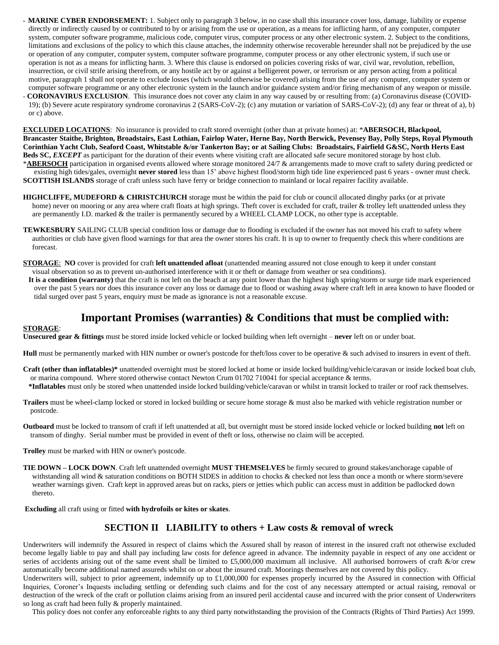- **MARINE CYBER ENDORSEMENT:** 1. Subject only to paragraph 3 below, in no case shall this insurance cover loss, damage, liability or expense directly or indirectly caused by or contributed to by or arising from the use or operation, as a means for inflicting harm, of any computer, computer system, computer software programme, malicious code, computer virus, computer process or any other electronic system. 2. Subject to the conditions, limitations and exclusions of the policy to which this clause attaches, the indemnity otherwise recoverable hereunder shall not be prejudiced by the use or operation of any computer, computer system, computer software programme, computer process or any other electronic system, if such use or operation is not as a means for inflicting harm. 3. Where this clause is endorsed on policies covering risks of war, civil war, revolution, rebellion, insurrection, or civil strife arising therefrom, or any hostile act by or against a belligerent power, or terrorism or any person acting from a political motive, paragraph 1 shall not operate to exclude losses (which would otherwise be covered) arising from the use of any computer, computer system or computer software programme or any other electronic system in the launch and/or guidance system and/or firing mechanism of any weapon or missile.
- **CORONAVIRUS EXCLUSION**. This insurance does not cover any claim in any way caused by or resulting from: (a) Coronavirus disease (COVID- 19); (b) Severe acute respiratory syndrome coronavirus 2 (SARS-CoV-2); (c) any mutation or variation of SARS-CoV-2); (d) any fear or threat of a), b) or c) above.

**EXCLUDED LOCATIONS**: No insurance is provided to craft stored overnight (other than at private homes) at: \***ABERSOCH, Blackpool, Brancaster Staithe, Brighton, Broadstairs, East Lothian, Fairlop Water, Herne Bay, North Berwick, Pevensey Bay, Polly Steps, Royal Plymouth Corinthian Yacht Club, Seaford Coast, Whitstable &/or Tankerton Bay; or at Sailing Clubs: Broadstairs, Fairfield G&SC, North Herts East**  Beds SC, *EXCEPT* as participant for the duration of their events where visiting craft are allocated safe secure monitored storage by host club. \***ABERSOCH** participation in organised events allowed where storage monitored 24/7 & arrangements made to move craft to safety during predicted or existing high tides/gales, overnight **never stored** less than 15' above highest flood/storm high tide line experienced past 6 years - owner must check.

**SCOTTISH ISLANDS** storage of craft unless such have ferry or bridge connection to mainland or local repairer facility available.

- **HIGHCLIFFE, MUDEFORD & CHRISTCHURCH** storage must be within the paid for club or council allocated dinghy parks (or at private home) never on mooring or any area where craft floats at high springs. Theft cover is excluded for craft, trailer & trolley left unattended unless they are permanently I.D. marked & the trailer is permanently secured by a WHEEL CLAMP LOCK, no other type is acceptable.
- **TEWKESBURY** SAILING CLUB special condition loss or damage due to flooding is excluded if the owner has not moved his craft to safety where authorities or club have given flood warnings for that area the owner stores his craft. It is up to owner to frequently check this where conditions are forecast.
- **STORAGE**: **NO** cover is provided for craft **left unattended afloat** (unattended meaning assured not close enough to keep it under constant visual observation so as to prevent un-authorised interference with it or theft or damage from weather or sea conditions).
- **It is a condition (warranty)** that the craft is not left on the beach at any point lower than the highest high spring/storm or surge tide mark experienced over the past 5 years nor does this insurance cover any loss or damage due to flood or washing away where craft left in area known to have flooded or tidal surged over past 5 years, enquiry must be made as ignorance is not a reasonable excuse.

# **Important Promises (warranties) & Conditions that must be complied with:**

#### **STORAGE**:

**Unsecured gear & fittings** must be stored inside locked vehicle or locked building when left overnight – **never** left on or under boat.

**Hull** must be permanently marked with HIN number or owner's postcode for theft/loss cover to be operative & such advised to insurers in event of theft.

- **Craft (other than inflatables)\*** unattended overnight must be stored locked at home or inside locked building/vehicle/caravan or inside locked boat club, or marina compound. Where stored otherwise contact Newton Crum 01702 710041 for special acceptance & terms.
- **\*Inflatables** must only be stored when unattended inside locked building/vehicle/caravan or whilst in transit locked to trailer or roof rack themselves.
- **Trailers** must be wheel-clamp locked or stored in locked building or secure home storage & must also be marked with vehicle registration number or postcode.
- **Outboard** must be locked to transom of craft if left unattended at all, but overnight must be stored inside locked vehicle or locked building **not** left on transom of dinghy. Serial number must be provided in event of theft or loss, otherwise no claim will be accepted.
- **Trolley** must be marked with HIN or owner's postcode.
- **TIE DOWN – LOCK DOWN**. Craft left unattended overnight **MUST THEMSELVES** be firmly secured to ground stakes/anchorage capable of withstanding all wind & saturation conditions on BOTH SIDES in addition to chocks & checked not less than once a month or where storm/severe weather warnings given. Craft kept in approved areas but on racks, piers or jetties which public can access must in addition be padlocked down thereto.

**Excluding** all craft using or fitted **with hydrofoils or kites or skates**.

### **SECTION II LIABILITY to others + Law costs & removal of wreck**

Underwriters will indemnify the Assured in respect of claims which the Assured shall by reason of interest in the insured craft not otherwise excluded become legally liable to pay and shall pay including law costs for defence agreed in advance. The indemnity payable in respect of any one accident or series of accidents arising out of the same event shall be limited to £5,000,000 maximum all inclusive. All authorised borrowers of craft  $\&$ /or crew automatically become additional named assureds whilst on or about the insured craft. Moorings themselves are not covered by this policy.

Underwriters will, subject to prior agreement, indemnify up to £1,000,000 for expenses properly incurred by the Assured in connection with Official Inquiries, Coroner's Inquests including settling or defending such claims and for the cost of any necessary attempted or actual raising, removal or destruction of the wreck of the craft or pollution claims arising from an insured peril accidental cause and incurred with the prior consent of Underwriters so long as craft had been fully & properly maintained.

This policy does not confer any enforceable rights to any third party notwithstanding the provision of the Contracts (Rights of Third Parties) Act 1999.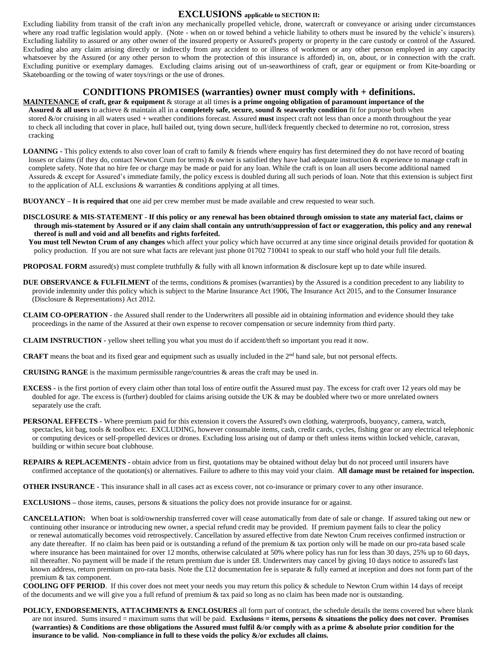### **EXCLUSIONS applicable to SECTION II:**

Excluding liability from transit of the craft in/on any mechanically propelled vehicle, drone, watercraft or conveyance or arising under circumstances where any road traffic legislation would apply. (Note - when on or towed behind a vehicle liability to others must be insured by the vehicle's insurers). Excluding liability to assured or any other owner of the insured property or Assured's property or property in the care custody or control of the Assured. Excluding also any claim arising directly or indirectly from any accident to or illness of workmen or any other person employed in any capacity whatsoever by the Assured (or any other person to whom the protection of this insurance is afforded) in, on, about, or in connection with the craft. Excluding punitive or exemplary damages. Excluding claims arising out of un-seaworthiness of craft, gear or equipment or from Kite-boarding or Skateboarding or the towing of water toys/rings or the use of drones.

## **CONDITIONS PROMISES (warranties) owner must comply with + definitions.**

**MAINTENANCE of craft, gear & equipment** & storage at all times **is a prime ongoing obligation of paramount importance of the Assured & all users** to achieve & maintain all in a **completely safe, secure, sound & seaworthy condition** fit for purpose both when stored &/or cruising in all waters used + weather conditions forecast. Assured **must** inspect craft not less than once a month throughout the year to check all including that cover in place, hull bailed out, tying down secure, hull/deck frequently checked to determine no rot, corrosion, stress cracking

**LOANING -** This policy extends to also cover loan of craft to family & friends where enquiry has first determined they do not have record of boating losses or claims (if they do, contact Newton Crum for terms) & owner is satisfied they have had adequate instruction & experience to manage craft in complete safety. Note that no hire fee or charge may be made or paid for any loan. While the craft is on loan all users become additional named Assureds & except for Assured's immediate family, the policy excess is doubled during all such periods of loan. Note that this extension is subject first to the application of ALL exclusions & warranties & conditions applying at all times.

**BUOYANCY – It is required that** one aid per crew member must be made available and crew requested to wear such.

**DISCLOSURE & MIS-STATEMENT - If this policy or any renewal has been obtained through omission to state any material fact, claims or through mis-statement by Assured or if any claim shall contain any untruth/suppression of fact or exaggeration, this policy and any renewal thereof is null and void and all benefits and rights forfeited.**

 **You must tell Newton Crum of any changes** which affect your policy which have occurred at any time since original details provided for quotation & policy production. If you are not sure what facts are relevant just phone 01702 710041 to speak to our staff who hold your full file details.

**PROPOSAL FORM** assured(s) must complete truthfully & fully with all known information & disclosure kept up to date while insured.

- **DUE OBSERVANCE & FULFILMENT** of the terms, conditions & promises (warranties) by the Assured is a condition precedent to any liability to provide indemnity under this policy which is subject to the Marine Insurance Act 1906, The Insurance Act 2015, and to the Consumer Insurance (Disclosure & Representations) Act 2012.
- **CLAIM CO-OPERATION** the Assured shall render to the Underwriters all possible aid in obtaining information and evidence should they take proceedings in the name of the Assured at their own expense to recover compensation or secure indemnity from third party.

**CLAIM INSTRUCTION -** yellow sheet telling you what you must do if accident/theft so important you read it now.

**CRAFT** means the boat and its fixed gear and equipment such as usually included in the 2<sup>nd</sup> hand sale, but not personal effects.

**CRUISING RANGE** is the maximum permissible range/countries & areas the craft may be used in.

- **EXCESS -** is the first portion of every claim other than total loss of entire outfit the Assured must pay. The excess for craft over 12 years old may be doubled for age. The excess is (further) doubled for claims arising outside the UK & may be doubled where two or more unrelated owners separately use the craft.
- **PERSONAL EFFECTS -** Where premium paid for this extension it covers the Assured's own clothing, waterproofs, buoyancy, camera, watch, spectacles, kit bag, tools & toolbox etc. EXCLUDING, however consumable items, cash, credit cards, cycles, fishing gear or any electrical telephonic or computing devices or self-propelled devices or drones. Excluding loss arising out of damp or theft unless items within locked vehicle, caravan, building or within secure boat clubhouse.
- **REPAIRS & REPLACEMENTS -** obtain advice from us first, quotations may be obtained without delay but do not proceed until insurers have confirmed acceptance of the quotation(s) or alternatives. Failure to adhere to this may void your claim. **All damage must be retained for inspection.**

**OTHER INSURANCE -** This insurance shall in all cases act as excess cover, not co-insurance or primary cover to any other insurance.

**EXCLUSIONS** – those items, causes, persons & situations the policy does not provide insurance for or against.

**CANCELLATION:** When boat is sold/ownership transferred cover will cease automatically from date of sale or change. If assured taking out new or continuing other insurance or introducing new owner, a special refund credit may be provided. If premium payment fails to clear the policy or renewal automatically becomes void retrospectively. Cancellation by assured effective from date Newton Crum receives confirmed instruction or any date thereafter. If no claim has been paid or is outstanding a refund of the premium & tax portion only will be made on our pro-rata based scale where insurance has been maintained for over 12 months, otherwise calculated at 50% where policy has run for less than 30 days, 25% up to 60 days, nil thereafter. No payment will be made if the return premium due is under  $\pounds 8$ . Underwriters may cancel by giving 10 days notice to assured's last known address, return premium on pro-rata basis. Note the £12 documentation fee is separate  $\&$  fully earned at inception and does not form part of the premium & tax component.

**COOLING OFF PERIOD**. If this cover does not meet your needs you may return this policy & schedule to Newton Crum within 14 days of receipt of the documents and we will give you a full refund of premium & tax paid so long as no claim has been made nor is outstanding.

**POLICY, ENDORSEMENTS, ATTACHMENTS & ENCLOSURES** all form part of contract, the schedule details the items covered but where blank are not insured. Sums insured  $=$  maximum sums that will be paid. **Exclusions**  $=$  **items, persons**  $\&$  **situations the policy does not cover. Promises (warranties) & Conditions are those obligations the Assured must fulfil &/or comply with as a prime & absolute prior condition for the insurance to be valid. Non-compliance in full to these voids the policy &/or excludes all claims.**